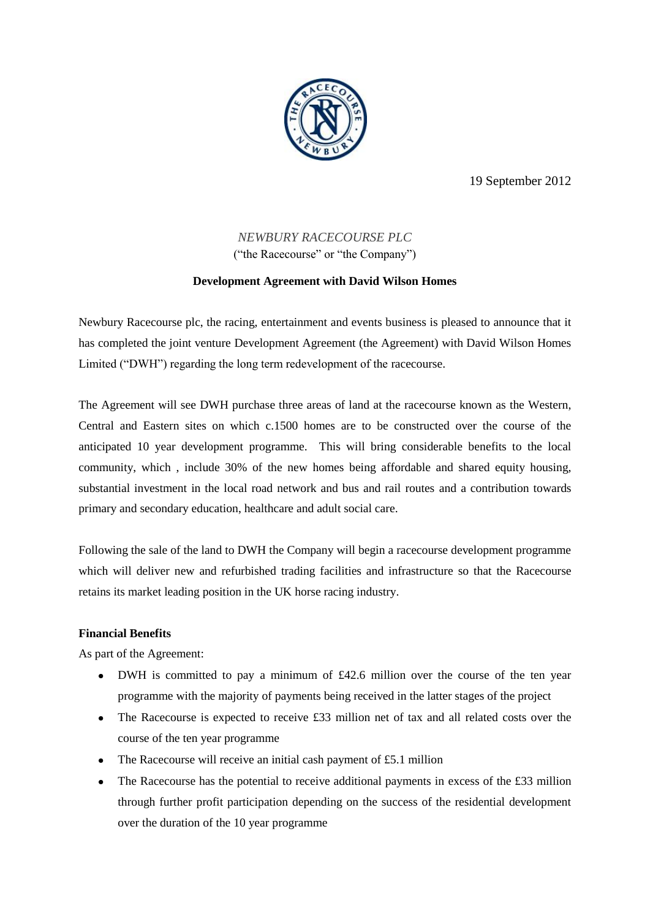

19 September 2012

# *NEWBURY RACECOURSE PLC* ("the Racecourse" or "the Company")

## **Development Agreement with David Wilson Homes**

Newbury Racecourse plc, the racing, entertainment and events business is pleased to announce that it has completed the joint venture Development Agreement (the Agreement) with David Wilson Homes Limited ("DWH") regarding the long term redevelopment of the racecourse.

The Agreement will see DWH purchase three areas of land at the racecourse known as the Western, Central and Eastern sites on which c.1500 homes are to be constructed over the course of the anticipated 10 year development programme. This will bring considerable benefits to the local community, which , include 30% of the new homes being affordable and shared equity housing, substantial investment in the local road network and bus and rail routes and a contribution towards primary and secondary education, healthcare and adult social care.

Following the sale of the land to DWH the Company will begin a racecourse development programme which will deliver new and refurbished trading facilities and infrastructure so that the Racecourse retains its market leading position in the UK horse racing industry.

### **Financial Benefits**

As part of the Agreement:

- DWH is committed to pay a minimum of £42.6 million over the course of the ten year programme with the majority of payments being received in the latter stages of the project
- The Racecourse is expected to receive £33 million net of tax and all related costs over the course of the ten year programme
- The Racecourse will receive an initial cash payment of £5.1 million
- The Racecourse has the potential to receive additional payments in excess of the £33 million  $\bullet$ through further profit participation depending on the success of the residential development over the duration of the 10 year programme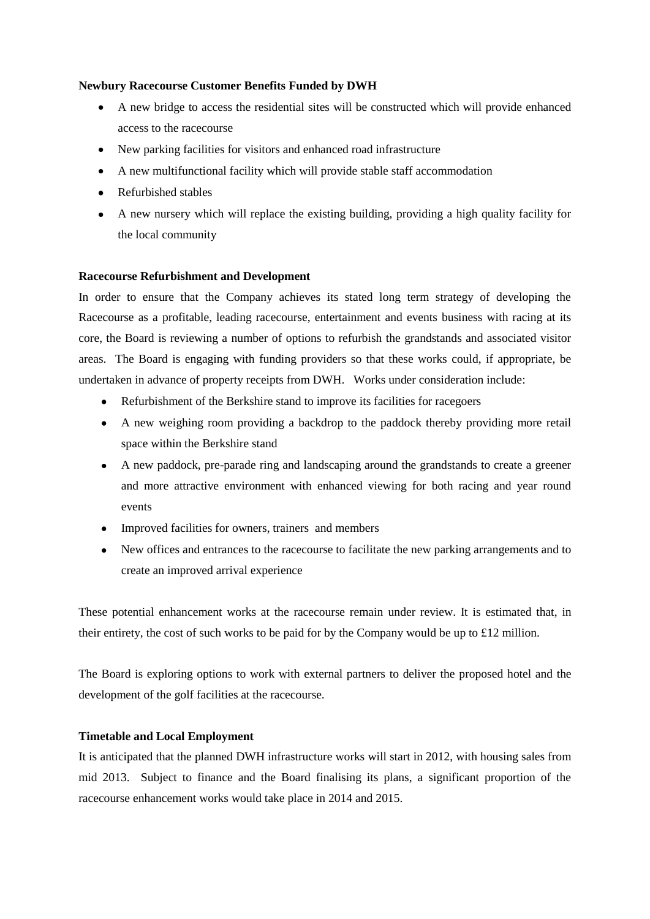### **Newbury Racecourse Customer Benefits Funded by DWH**

- $\bullet$ A new bridge to access the residential sites will be constructed which will provide enhanced access to the racecourse
- New parking facilities for visitors and enhanced road infrastructure
- A new multifunctional facility which will provide stable staff accommodation
- Refurbished stables
- A new nursery which will replace the existing building, providing a high quality facility for the local community

### **Racecourse Refurbishment and Development**

In order to ensure that the Company achieves its stated long term strategy of developing the Racecourse as a profitable, leading racecourse, entertainment and events business with racing at its core, the Board is reviewing a number of options to refurbish the grandstands and associated visitor areas. The Board is engaging with funding providers so that these works could, if appropriate, be undertaken in advance of property receipts from DWH. Works under consideration include:

- Refurbishment of the Berkshire stand to improve its facilities for racegoers
- A new weighing room providing a backdrop to the paddock thereby providing more retail space within the Berkshire stand
- A new paddock, pre-parade ring and landscaping around the grandstands to create a greener and more attractive environment with enhanced viewing for both racing and year round events
- Improved facilities for owners, trainers and members
- New offices and entrances to the racecourse to facilitate the new parking arrangements and to create an improved arrival experience

These potential enhancement works at the racecourse remain under review. It is estimated that, in their entirety, the cost of such works to be paid for by the Company would be up to £12 million.

The Board is exploring options to work with external partners to deliver the proposed hotel and the development of the golf facilities at the racecourse.

### **Timetable and Local Employment**

It is anticipated that the planned DWH infrastructure works will start in 2012, with housing sales from mid 2013. Subject to finance and the Board finalising its plans, a significant proportion of the racecourse enhancement works would take place in 2014 and 2015.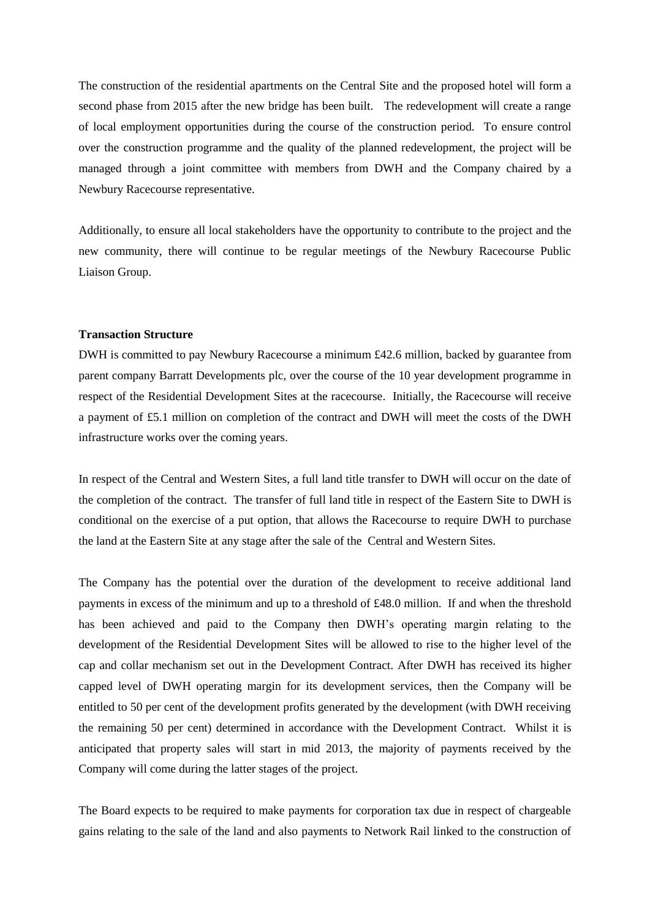The construction of the residential apartments on the Central Site and the proposed hotel will form a second phase from 2015 after the new bridge has been built. The redevelopment will create a range of local employment opportunities during the course of the construction period. To ensure control over the construction programme and the quality of the planned redevelopment, the project will be managed through a joint committee with members from DWH and the Company chaired by a Newbury Racecourse representative.

Additionally, to ensure all local stakeholders have the opportunity to contribute to the project and the new community, there will continue to be regular meetings of the Newbury Racecourse Public Liaison Group.

#### **Transaction Structure**

DWH is committed to pay Newbury Racecourse a minimum £42.6 million, backed by guarantee from parent company Barratt Developments plc, over the course of the 10 year development programme in respect of the Residential Development Sites at the racecourse. Initially, the Racecourse will receive a payment of £5.1 million on completion of the contract and DWH will meet the costs of the DWH infrastructure works over the coming years.

In respect of the Central and Western Sites, a full land title transfer to DWH will occur on the date of the completion of the contract. The transfer of full land title in respect of the Eastern Site to DWH is conditional on the exercise of a put option, that allows the Racecourse to require DWH to purchase the land at the Eastern Site at any stage after the sale of the Central and Western Sites.

The Company has the potential over the duration of the development to receive additional land payments in excess of the minimum and up to a threshold of £48.0 million. If and when the threshold has been achieved and paid to the Company then DWH's operating margin relating to the development of the Residential Development Sites will be allowed to rise to the higher level of the cap and collar mechanism set out in the Development Contract. After DWH has received its higher capped level of DWH operating margin for its development services, then the Company will be entitled to 50 per cent of the development profits generated by the development (with DWH receiving the remaining 50 per cent) determined in accordance with the Development Contract. Whilst it is anticipated that property sales will start in mid 2013, the majority of payments received by the Company will come during the latter stages of the project.

The Board expects to be required to make payments for corporation tax due in respect of chargeable gains relating to the sale of the land and also payments to Network Rail linked to the construction of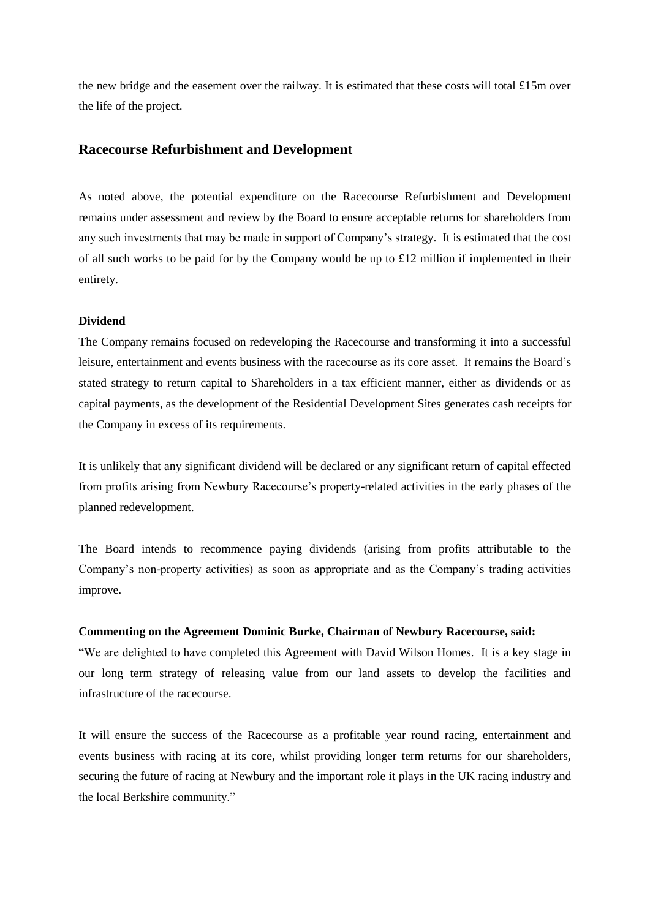the new bridge and the easement over the railway. It is estimated that these costs will total £15m over the life of the project.

## **Racecourse Refurbishment and Development**

As noted above, the potential expenditure on the Racecourse Refurbishment and Development remains under assessment and review by the Board to ensure acceptable returns for shareholders from any such investments that may be made in support of Company's strategy. It is estimated that the cost of all such works to be paid for by the Company would be up to  $\pounds 12$  million if implemented in their entirety.

#### **Dividend**

The Company remains focused on redeveloping the Racecourse and transforming it into a successful leisure, entertainment and events business with the racecourse as its core asset. It remains the Board's stated strategy to return capital to Shareholders in a tax efficient manner, either as dividends or as capital payments, as the development of the Residential Development Sites generates cash receipts for the Company in excess of its requirements.

It is unlikely that any significant dividend will be declared or any significant return of capital effected from profits arising from Newbury Racecourse's property-related activities in the early phases of the planned redevelopment.

The Board intends to recommence paying dividends (arising from profits attributable to the Company's non-property activities) as soon as appropriate and as the Company's trading activities improve.

### **Commenting on the Agreement Dominic Burke, Chairman of Newbury Racecourse, said:**

"We are delighted to have completed this Agreement with David Wilson Homes. It is a key stage in our long term strategy of releasing value from our land assets to develop the facilities and infrastructure of the racecourse.

It will ensure the success of the Racecourse as a profitable year round racing, entertainment and events business with racing at its core, whilst providing longer term returns for our shareholders, securing the future of racing at Newbury and the important role it plays in the UK racing industry and the local Berkshire community."